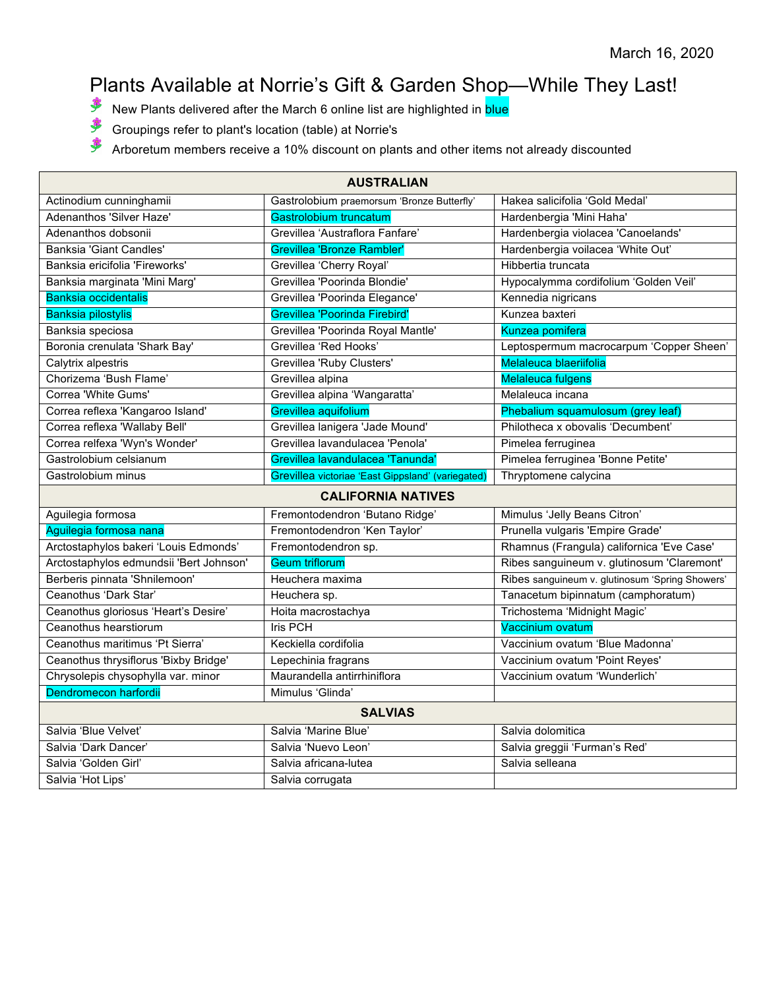## Plants Available at Norrie's Gift & Garden Shop—While They Last!

- New Plants delivered after the March 6 online list are highlighted in **blue**
- \$ Groupings refer to plant's location (table) at Norrie's
- \$ Arboretum members receive a 10% discount on plants and other items not already discounted

| <b>AUSTRALIAN</b>                       |                                                   |                                                 |
|-----------------------------------------|---------------------------------------------------|-------------------------------------------------|
| Actinodium cunninghamii                 | Gastrolobium praemorsum 'Bronze Butterfly'        | Hakea salicifolia 'Gold Medal'                  |
| Adenanthos 'Silver Haze'                | Gastrolobium truncatum                            | Hardenbergia 'Mini Haha'                        |
| Adenanthos dobsonii                     | Grevillea 'Austraflora Fanfare'                   | Hardenbergia violacea 'Canoelands'              |
| Banksia 'Giant Candles'                 | <b>Grevillea 'Bronze Rambler'</b>                 | Hardenbergia voilacea 'White Out'               |
| Banksia ericifolia 'Fireworks'          | Grevillea 'Cherry Royal'                          | Hibbertia truncata                              |
| Banksia marginata 'Mini Marg'           | Grevillea 'Poorinda Blondie'                      | Hypocalymma cordifolium 'Golden Veil'           |
| <b>Banksia occidentalis</b>             | Grevillea 'Poorinda Elegance'                     | Kennedia nigricans                              |
| <b>Banksia pilostylis</b>               | Grevillea 'Poorinda Firebird'                     | Kunzea baxteri                                  |
| Banksia speciosa                        | Grevillea 'Poorinda Royal Mantle'                 | Kunzea pomifera                                 |
| Boronia crenulata 'Shark Bay'           | Grevillea 'Red Hooks'                             | Leptospermum macrocarpum 'Copper Sheen'         |
| Calytrix alpestris                      | Grevillea 'Ruby Clusters'                         | Melaleuca blaeriifolia                          |
| Chorizema 'Bush Flame'                  | Grevillea alpina                                  | <b>Melaleuca fulgens</b>                        |
| Correa 'White Gums'                     | Grevillea alpina 'Wangaratta'                     | Melaleuca incana                                |
| Correa reflexa 'Kangaroo Island'        | Grevillea aquifolium                              | Phebalium squamulosum (grey leaf)               |
| Correa reflexa 'Wallaby Bell'           | Grevillea lanigera 'Jade Mound'                   | Philotheca x obovalis 'Decumbent'               |
| Correa relfexa 'Wyn's Wonder'           | Grevillea lavandulacea 'Penola'                   | Pimelea ferruginea                              |
| Gastrolobium celsianum                  | Grevillea lavandulacea 'Tanunda'                  | Pimelea ferruginea 'Bonne Petite'               |
| Gastrolobium minus                      | Grevillea victoriae 'East Gippsland' (variegated) | Thryptomene calycina                            |
| <b>CALIFORNIA NATIVES</b>               |                                                   |                                                 |
| Aguilegia formosa                       | Fremontodendron 'Butano Ridge'                    | Mimulus 'Jelly Beans Citron'                    |
| Aguilegia formosa nana                  | Fremontodendron 'Ken Taylor'                      | Prunella vulgaris 'Empire Grade'                |
| Arctostaphylos bakeri 'Louis Edmonds'   | Fremontodendron sp.                               | Rhamnus (Frangula) californica 'Eve Case'       |
| Arctostaphylos edmundsii 'Bert Johnson' | <b>Geum triflorum</b>                             | Ribes sanguineum v. glutinosum 'Claremont'      |
| Berberis pinnata 'Shnilemoon'           | Heuchera maxima                                   | Ribes sanguineum v. glutinosum 'Spring Showers' |
| Ceanothus 'Dark Star'                   | Heuchera sp.                                      | Tanacetum bipinnatum (camphoratum)              |
| Ceanothus gloriosus 'Heart's Desire'    | Hoita macrostachya                                | Trichostema 'Midnight Magic'                    |
| Ceanothus hearstiorum                   | <b>Iris PCH</b>                                   | Vaccinium ovatum                                |
| Ceanothus maritimus 'Pt Sierra'         | Keckiella cordifolia                              | Vaccinium ovatum 'Blue Madonna'                 |
| Ceanothus thrysiflorus 'Bixby Bridge'   | Lepechinia fragrans                               | Vaccinium ovatum 'Point Reyes'                  |
| Chrysolepis chysophylla var. minor      | Maurandella antirrhiniflora                       | Vaccinium ovatum 'Wunderlich'                   |
| Dendromecon harfordii                   | Mimulus 'Glinda'                                  |                                                 |
| <b>SALVIAS</b>                          |                                                   |                                                 |
| Salvia 'Blue Velvet'                    | Salvia 'Marine Blue'                              | Salvia dolomitica                               |
| Salvia 'Dark Dancer'                    | Salvia 'Nuevo Leon'                               | Salvia greggii 'Furman's Red'                   |
| Salvia 'Golden Girl'                    | Salvia africana-lutea                             | Salvia selleana                                 |
| Salvia 'Hot Lips'                       | Salvia corrugata                                  |                                                 |